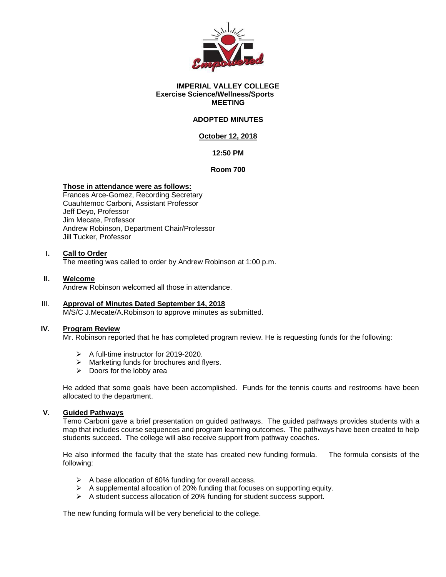

#### **IMPERIAL VALLEY COLLEGE Exercise Science/Wellness/Sports MEETING**

## **ADOPTED MINUTES**

## **October 12, 2018**

## **12:50 PM**

**Room 700**

## **Those in attendance were as follows:**

Frances Arce-Gomez, Recording Secretary Cuauhtemoc Carboni, Assistant Professor Jeff Deyo, Professor Jim Mecate, Professor Andrew Robinson, Department Chair/Professor Jill Tucker, Professor

#### **I. Call to Order**

The meeting was called to order by Andrew Robinson at 1:00 p.m.

#### **II. Welcome**

Andrew Robinson welcomed all those in attendance.

# III. **Approval of Minutes Dated September 14, 2018**

M/S/C J.Mecate/A.Robinson to approve minutes as submitted.

#### **IV. Program Review**

Mr. Robinson reported that he has completed program review. He is requesting funds for the following:

- $\triangleright$  A full-time instructor for 2019-2020.
- $\triangleright$  Marketing funds for brochures and flyers.
- $\triangleright$  Doors for the lobby area

He added that some goals have been accomplished. Funds for the tennis courts and restrooms have been allocated to the department.

## **V. Guided Pathways**

Temo Carboni gave a brief presentation on guided pathways. The guided pathways provides students with a map that includes course sequences and program learning outcomes. The pathways have been created to help students succeed. The college will also receive support from pathway coaches.

He also informed the faculty that the state has created new funding formula. The formula consists of the following:

- $\triangleright$  A base allocation of 60% funding for overall access.
- $\triangleright$  A supplemental allocation of 20% funding that focuses on supporting equity.
- A student success allocation of 20% funding for student success support.

The new funding formula will be very beneficial to the college.